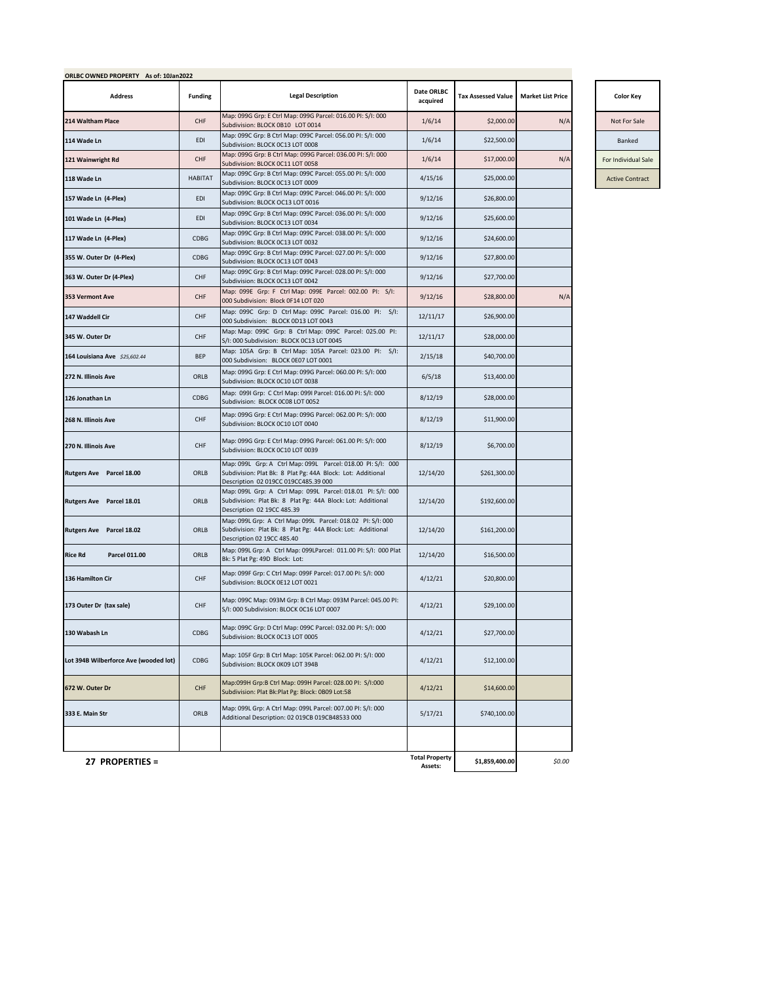| <b>Address</b>                        | <b>Funding</b> | <b>Legal Description</b>                                                                                                                                           | Date ORLBC<br>acquired           | <b>Tax Assessed Value</b> | <b>Market List Price</b> | <b>Color Key</b>       |
|---------------------------------------|----------------|--------------------------------------------------------------------------------------------------------------------------------------------------------------------|----------------------------------|---------------------------|--------------------------|------------------------|
| 214 Waltham Place                     | CHF            | Map: 099G Grp: E Ctrl Map: 099G Parcel: 016.00 PI: S/I: 000<br>Subdivision: BLOCK 0B10 LOT 0014                                                                    | 1/6/14                           | \$2,000.00                | N/A                      | Not For Sale           |
| 114 Wade Ln                           | EDI            | Map: 099C Grp: B Ctrl Map: 099C Parcel: 056.00 PI: S/I: 000<br>Subdivision: BLOCK OC13 LOT 0008                                                                    | 1/6/14                           | \$22,500.00               |                          | Banked                 |
| 121 Wainwright Rd                     | CHF            | Map: 099G Grp: B Ctrl Map: 099G Parcel: 036.00 PI: S/I: 000<br>Subdivision: BLOCK 0C11 LOT 0058                                                                    | 1/6/14                           | \$17,000.00               | N/A                      | For Individual Sale    |
| 118 Wade Ln                           | <b>HABITAT</b> | Map: 099C Grp: B Ctrl Map: 099C Parcel: 055.00 PI: S/I: 000<br>Subdivision: BLOCK 0C13 LOT 0009                                                                    | 4/15/16                          | \$25,000.00               |                          | <b>Active Contract</b> |
| 157 Wade Ln (4-Plex)                  | EDI            | Map: 099C Grp: B Ctrl Map: 099C Parcel: 046.00 PI: S/I: 000<br>Subdivision: BLOCK OC13 LOT 0016                                                                    | 9/12/16                          | \$26,800.00               |                          |                        |
| 101 Wade Ln (4-Plex)                  | EDI            | Map: 099C Grp: B Ctrl Map: 099C Parcel: 036.00 PI: S/I: 000<br>Subdivision: BLOCK 0C13 LOT 0034                                                                    | 9/12/16                          | \$25,600.00               |                          |                        |
| 117 Wade Ln (4-Plex)                  | CDBG           | Map: 099C Grp: B Ctrl Map: 099C Parcel: 038.00 PI: S/I: 000<br>Subdivision: BLOCK OC13 LOT 0032                                                                    | 9/12/16                          | \$24,600.00               |                          |                        |
| 355 W. Outer Dr (4-Plex)              | CDBG           | Map: 099C Grp: B Ctrl Map: 099C Parcel: 027.00 PI: S/I: 000<br>Subdivision: BLOCK 0C13 LOT 0043                                                                    | 9/12/16                          | \$27,800.00               |                          |                        |
| 363 W. Outer Dr (4-Plex)              | CHF            | Map: 099C Grp: B Ctrl Map: 099C Parcel: 028.00 PI: S/I: 000<br>Subdivision: BLOCK 0C13 LOT 0042                                                                    | 9/12/16                          | \$27,700.00               |                          |                        |
| 353 Vermont Ave                       | CHF            | Map: 099E Grp: F Ctrl Map: 099E Parcel: 002.00 PI: S/I:<br>000 Subdivision: Block 0F14 LOT 020                                                                     | 9/12/16                          | \$28,800.00               | N/A                      |                        |
| 147 Waddell Cir                       | CHF            | Map: 099C Grp: D Ctrl Map: 099C Parcel: 016.00 PI: S/I:<br>000 Subdivision: BLOCK 0D13 LOT 0043                                                                    | 12/11/17                         | \$26,900.00               |                          |                        |
| 345 W. Outer Dr                       | CHF            | Map: Map: 099C Grp: B Ctrl Map: 099C Parcel: 025.00 PI:<br>S/I: 000 Subdivision: BLOCK 0C13 LOT 0045                                                               | 12/11/17                         | \$28,000.00               |                          |                        |
| 164 Louisiana Ave \$25,602.44         | <b>BEP</b>     | Map: 105A Grp: B Ctrl Map: 105A Parcel: 023.00 PI: S/I:<br>000 Subdivision: BLOCK 0E07 LOT 0001                                                                    | 2/15/18                          | \$40,700.00               |                          |                        |
| 272 N. Illinois Ave                   | ORLB           | Map: 099G Grp: E Ctrl Map: 099G Parcel: 060.00 PI: S/I: 000<br>Subdivision: BLOCK OC10 LOT 0038                                                                    | 6/5/18                           | \$13,400.00               |                          |                        |
| 126 Jonathan Ln                       | CDBG           | Map: 099I Grp: C Ctrl Map: 099I Parcel: 016.00 PI: S/I: 000<br>Subdivision: BLOCK OC08 LOT 0052                                                                    | 8/12/19                          | \$28,000.00               |                          |                        |
| 268 N. Illinois Ave                   | CHF            | Map: 099G Grp: E Ctrl Map: 099G Parcel: 062.00 PI: S/I: 000<br>Subdivision: BLOCK OC10 LOT 0040                                                                    | 8/12/19                          | \$11,900.00               |                          |                        |
| 270 N. Illinois Ave                   | CHF            | Map: 099G Grp: E Ctrl Map: 099G Parcel: 061.00 PI: S/I: 000<br>Subdivision: BLOCK OC10 LOT 0039                                                                    | 8/12/19                          | \$6,700.00                |                          |                        |
| <b>Rutgers Ave</b> Parcel 18.00       | ORLB           | Map: 099L Grp: A Ctrl Map: 099L Parcel: 018.00 PI: S/I: 000<br>Subdivision: Plat Bk: 8 Plat Pg: 44A Block: Lot: Additional<br>Description 02 019CC 019CC485.39 000 | 12/14/20                         | \$261,300.00              |                          |                        |
| <b>Rutgers Ave</b> Parcel 18.01       | ORLB           | Map: 099L Grp: A Ctrl Map: 099L Parcel: 018.01 PI: S/I: 000<br>Subdivision: Plat Bk: 8 Plat Pg: 44A Block: Lot: Additional<br>Description 02 19CC 485.39           | 12/14/20                         | \$192,600.00              |                          |                        |
| Rutgers Ave Parcel 18.02              | ORLB           | Map: 099L Grp: A Ctrl Map: 099L Parcel: 018.02 PI: S/I: 000<br>Subdivision: Plat Bk: 8 Plat Pg: 44A Block: Lot: Additional<br>Description 02 19CC 485.40           | 12/14/20                         | \$161,200.00              |                          |                        |
| <b>Rice Rd</b><br>Parcel 011.00       | ORLB           | Map: 099L Grp: A Ctrl Map: 099LParcel: 011.00 PI: S/I: 000 Plat<br>Bk: 5 Plat Pg: 49D Block: Lot:                                                                  | 12/14/20                         | \$16,500.00               |                          |                        |
| 136 Hamilton Cir                      | CHF            | Map: 099F Grp: C Ctrl Map: 099F Parcel: 017.00 PI: S/I: 000<br>Subdivision: BLOCK 0E12 LOT 0021                                                                    | 4/12/21                          | \$20,800.00               |                          |                        |
| 173 Outer Dr (tax sale)               | CHF            | Map: 099C Map: 093M Grp: B Ctrl Map: 093M Parcel: 045.00 PI:<br>S/I: 000 Subdivision: BLOCK 0C16 LOT 0007                                                          | 4/12/21                          | \$29,100.00               |                          |                        |
| 130 Wabash Ln                         | CDBG           | Map: 099C Grp: D Ctrl Map: 099C Parcel: 032.00 PI: S/I: 000<br>Subdivision: BLOCK 0C13 LOT 0005                                                                    | 4/12/21                          | \$27,700.00               |                          |                        |
| Lot 394B Wilberforce Ave (wooded lot) | CDBG           | Map: 105F Grp: B Ctrl Map: 105K Parcel: 062.00 PI: S/I: 000<br>Subdivision: BLOCK 0K09 LOT 394B                                                                    | 4/12/21                          | \$12,100.00               |                          |                        |
| 672 W. Outer Dr                       | CHF            | Map:099H Grp:B Ctrl Map: 099H Parcel: 028.00 PI: S/I:000<br>Subdivision: Plat Bk:Plat Pg: Block: 0B09 Lot:58                                                       | 4/12/21                          | \$14,600.00               |                          |                        |
| 333 E. Main Str                       | ORLB           | Map: 099L Grp: A Ctrl Map: 099L Parcel: 007.00 PI: S/I: 000<br>Additional Description: 02 019CB 019CB48533 000                                                     | 5/17/21                          | \$740,100.00              |                          |                        |
|                                       |                |                                                                                                                                                                    |                                  |                           |                          |                        |
| 27 PROPERTIES =                       |                |                                                                                                                                                                    | <b>Total Property</b><br>Accotc. | \$1,859,400.00            | \$0.00                   |                        |

| <b>Color Key</b>       |
|------------------------|
| lot For Sale           |
| <b>Banked</b>          |
| <b>Individual Sale</b> |

**Assets:**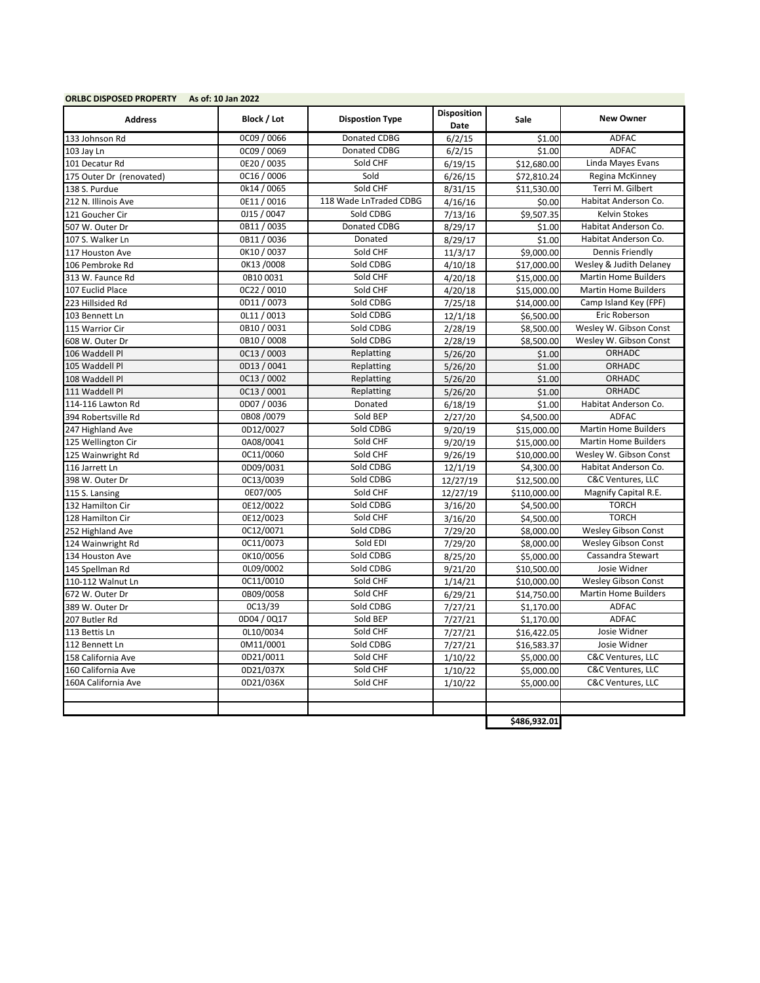| <b>ORLBC DISPOSED PROPERTY</b> | As of: 10 Jan 2022 |                        |                            |              |                             |  |
|--------------------------------|--------------------|------------------------|----------------------------|--------------|-----------------------------|--|
| <b>Address</b>                 | Block / Lot        | <b>Dispostion Type</b> | <b>Disposition</b><br>Date | <b>Sale</b>  | <b>New Owner</b>            |  |
| 133 Johnson Rd                 | OC09 / 0066        | Donated CDBG           | 6/2/15                     | \$1.00       | <b>ADFAC</b>                |  |
| 103 Jay Ln                     | 0C09 / 0069        | Donated CDBG           | 6/2/15                     | \$1.00       | <b>ADFAC</b>                |  |
| 101 Decatur Rd                 | 0E20 / 0035        | Sold CHF               | 6/19/15                    | \$12,680.00  | Linda Mayes Evans           |  |
| 175 Outer Dr (renovated)       | 0C16 / 0006        | Sold                   | 6/26/15                    | \$72,810.24  | Regina McKinney             |  |
| 138 S. Purdue                  | 0k14 / 0065        | Sold CHF               | 8/31/15                    | \$11,530.00  | Terri M. Gilbert            |  |
| 212 N. Illinois Ave            | 0E11/0016          | 118 Wade LnTraded CDBG | 4/16/16                    | \$0.00       | Habitat Anderson Co.        |  |
| 121 Goucher Cir                | 0J15 / 0047        | Sold CDBG              | 7/13/16                    | \$9,507.35   | Kelvin Stokes               |  |
| 507 W. Outer Dr                | 0B11/0035          | Donated CDBG           | 8/29/17                    | \$1.00       | Habitat Anderson Co.        |  |
| 107 S. Walker Ln               | 0B11/0036          | Donated                | 8/29/17                    | \$1.00       | Habitat Anderson Co.        |  |
| 117 Houston Ave                | 0K10 / 0037        | Sold CHF               | 11/3/17                    | \$9,000.00   | Dennis Friendly             |  |
| 106 Pembroke Rd                | 0K13/0008          | Sold CDBG              | 4/10/18                    | \$17,000.00  | Wesley & Judith Delaney     |  |
| 313 W. Faunce Rd               | 0B10 0031          | Sold CHF               | 4/20/18                    | \$15,000.00  | <b>Martin Home Builders</b> |  |
| 107 Euclid Place               | 0C22 / 0010        | Sold CHF               | 4/20/18                    | \$15,000.00  | <b>Martin Home Builders</b> |  |
| 223 Hillsided Rd               | 0D11 / 0073        | Sold CDBG              | 7/25/18                    | \$14,000.00  | Camp Island Key (FPF)       |  |
| 103 Bennett Ln                 | OL11 / 0013        | Sold CDBG              | 12/1/18                    | \$6,500.00   | Eric Roberson               |  |
| 115 Warrior Cir                | 0B10/0031          | Sold CDBG              | 2/28/19                    | \$8,500.00   | Wesley W. Gibson Const      |  |
| 608 W. Outer Dr                | 0B10 / 0008        | Sold CDBG              | 2/28/19                    | \$8,500.00   | Wesley W. Gibson Const      |  |
| 106 Waddell Pl                 | OC13 / 0003        | Replatting             | 5/26/20                    | \$1.00       | <b>ORHADC</b>               |  |
| 105 Waddell Pl                 | 0D13 / 0041        | Replatting             | 5/26/20                    | \$1.00       | ORHADC                      |  |
| 108 Waddell Pl                 | OC13 / 0002        | Replatting             | 5/26/20                    | \$1.00       | ORHADC                      |  |
| 111 Waddell Pl                 | OC13 / 0001        | Replatting             | 5/26/20                    | \$1.00       | <b>ORHADC</b>               |  |
| 114-116 Lawton Rd              | 0D07 / 0036        | Donated                | 6/18/19                    | \$1.00       | Habitat Anderson Co.        |  |
| 394 Robertsville Rd            | 0B08/0079          | Sold BEP               | 2/27/20                    | \$4,500.00   | <b>ADFAC</b>                |  |
| 247 Highland Ave               | 0D12/0027          | Sold CDBG              | 9/20/19                    | \$15,000.00  | <b>Martin Home Builders</b> |  |
| 125 Wellington Cir             | 0A08/0041          | Sold CHF               | 9/20/19                    | \$15,000.00  | <b>Martin Home Builders</b> |  |
| 125 Wainwright Rd              | 0C11/0060          | Sold CHF               | 9/26/19                    | \$10,000.00  | Wesley W. Gibson Const      |  |
| 116 Jarrett Ln                 | 0D09/0031          | Sold CDBG              | 12/1/19                    | \$4,300.00   | Habitat Anderson Co.        |  |
| 398 W. Outer Dr                | 0C13/0039          | Sold CDBG              | 12/27/19                   | \$12,500.00  | C&C Ventures, LLC           |  |
| 115 S. Lansing                 | 0E07/005           | Sold CHF               | 12/27/19                   | \$110,000.00 | Magnify Capital R.E.        |  |
| 132 Hamilton Cir               | 0E12/0022          | Sold CDBG              | 3/16/20                    | \$4,500.00   | <b>TORCH</b>                |  |
| 128 Hamilton Cir               | 0E12/0023          | Sold CHF               | 3/16/20                    | \$4,500.00   | <b>TORCH</b>                |  |
| 252 Highland Ave               | 0C12/0071          | Sold CDBG              | 7/29/20                    | \$8,000.00   | <b>Wesley Gibson Const</b>  |  |
| 124 Wainwright Rd              | 0C11/0073          | Sold EDI               | 7/29/20                    | \$8,000.00   | Wesley Gibson Const         |  |
| 134 Houston Ave                | 0K10/0056          | Sold CDBG              | 8/25/20                    | \$5,000.00   | Cassandra Stewart           |  |
| 145 Spellman Rd                | 0L09/0002          | Sold CDBG              | 9/21/20                    | \$10,500.00  | Josie Widner                |  |
| 110-112 Walnut Ln              | 0C11/0010          | Sold CHF               | 1/14/21                    | \$10,000.00  | Wesley Gibson Const         |  |
| 672 W. Outer Dr                | 0B09/0058          | Sold CHF               | 6/29/21                    | \$14,750.00  | <b>Martin Home Builders</b> |  |
| 389 W. Outer Dr                | 0C13/39            | Sold CDBG              | 7/27/21                    | \$1,170.00   | <b>ADFAC</b>                |  |
| 207 Butler Rd                  | 0D04 / 0Q17        | Sold BEP               | 7/27/21                    | \$1,170.00   | <b>ADFAC</b>                |  |
| 113 Bettis Ln                  | 0L10/0034          | Sold CHF               | 7/27/21                    | \$16,422.05  | Josie Widner                |  |
| 112 Bennett Ln                 | 0M11/0001          | Sold CDBG              | 7/27/21                    | \$16,583.37  | Josie Widner                |  |
| 158 California Ave             | 0D21/0011          | Sold CHF               | 1/10/22                    | \$5,000.00   | C&C Ventures, LLC           |  |
| 160 California Ave             | 0D21/037X          | Sold CHF               | 1/10/22                    | \$5,000.00   | C&C Ventures, LLC           |  |
| 160A California Ave            | 0D21/036X          | Sold CHF               | 1/10/22                    | \$5,000.00   | C&C Ventures, LLC           |  |
|                                |                    |                        |                            |              |                             |  |
|                                |                    |                        |                            | \$486,932.01 |                             |  |